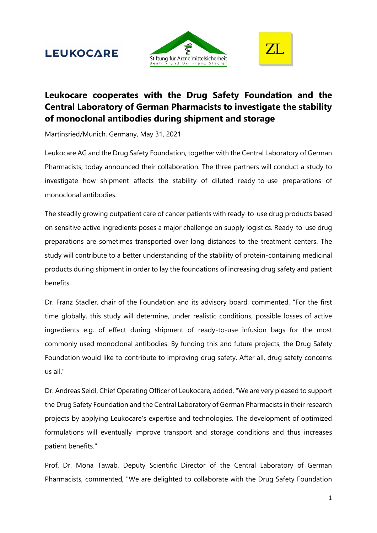# **LEUKOCARE**





## **Leukocare cooperates with the Drug Safety Foundation and the Central Laboratory of German Pharmacists to investigate the stability of monoclonal antibodies during shipment and storage**

Martinsried/Munich, Germany, May 31, 2021

Leukocare AG and the Drug Safety Foundation, together with the Central Laboratory of German Pharmacists, today announced their collaboration. The three partners will conduct a study to investigate how shipment affects the stability of diluted ready-to-use preparations of monoclonal antibodies.

The steadily growing outpatient care of cancer patients with ready-to-use drug products based on sensitive active ingredients poses a major challenge on supply logistics. Ready-to-use drug preparations are sometimes transported over long distances to the treatment centers. The study will contribute to a better understanding of the stability of protein-containing medicinal products during shipment in order to lay the foundations of increasing drug safety and patient benefits.

Dr. Franz Stadler, chair of the Foundation and its advisory board, commented, "For the first time globally, this study will determine, under realistic conditions, possible losses of active ingredients e.g. of effect during shipment of ready-to-use infusion bags for the most commonly used monoclonal antibodies. By funding this and future projects, the Drug Safety Foundation would like to contribute to improving drug safety. After all, drug safety concerns us all."

Dr. Andreas Seidl, Chief Operating Officer of Leukocare, added, "We are very pleased to support the Drug Safety Foundation and the Central Laboratory of German Pharmacists in their research projects by applying Leukocare's expertise and technologies. The development of optimized formulations will eventually improve transport and storage conditions and thus increases patient benefits."

Prof. Dr. Mona Tawab, Deputy Scientific Director of the Central Laboratory of German Pharmacists, commented, "We are delighted to collaborate with the Drug Safety Foundation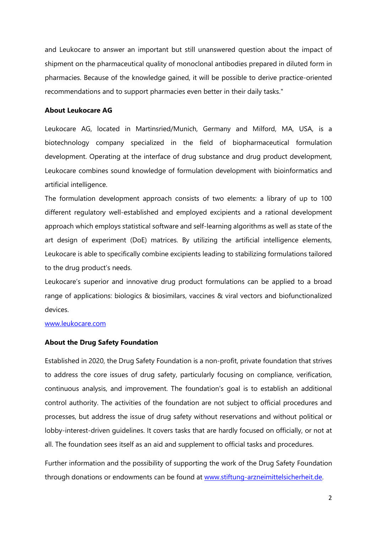and Leukocare to answer an important but still unanswered question about the impact of shipment on the pharmaceutical quality of monoclonal antibodies prepared in diluted form in pharmacies. Because of the knowledge gained, it will be possible to derive practice-oriented recommendations and to support pharmacies even better in their daily tasks."

#### **About Leukocare AG**

Leukocare AG, located in Martinsried/Munich, Germany and Milford, MA, USA, is a biotechnology company specialized in the field of biopharmaceutical formulation development. Operating at the interface of drug substance and drug product development, Leukocare combines sound knowledge of formulation development with bioinformatics and artificial intelligence.

The formulation development approach consists of two elements: a library of up to 100 different regulatory well-established and employed excipients and a rational development approach which employs statistical software and self-learning algorithms as well as state of the art design of experiment (DoE) matrices. By utilizing the artificial intelligence elements, Leukocare is able to specifically combine excipients leading to stabilizing formulations tailored to the drug product's needs.

Leukocare's superior and innovative drug product formulations can be applied to a broad range of applications: biologics & biosimilars, vaccines & viral vectors and biofunctionalized devices.

#### [www.leukocare.com](http://www.leukocare.com/)

#### **About the Drug Safety Foundation**

Established in 2020, the Drug Safety Foundation is a non-profit, private foundation that strives to address the core issues of drug safety, particularly focusing on compliance, verification, continuous analysis, and improvement. The foundation's goal is to establish an additional control authority. The activities of the foundation are not subject to official procedures and processes, but address the issue of drug safety without reservations and without political or lobby-interest-driven guidelines. It covers tasks that are hardly focused on officially, or not at all. The foundation sees itself as an aid and supplement to official tasks and procedures.

Further information and the possibility of supporting the work of the Drug Safety Foundation through donations or endowments can be found at [www.stiftung-arzneimittelsicherheit.de.](http://www.stiftung-arzneimittelsicherheit.de/)